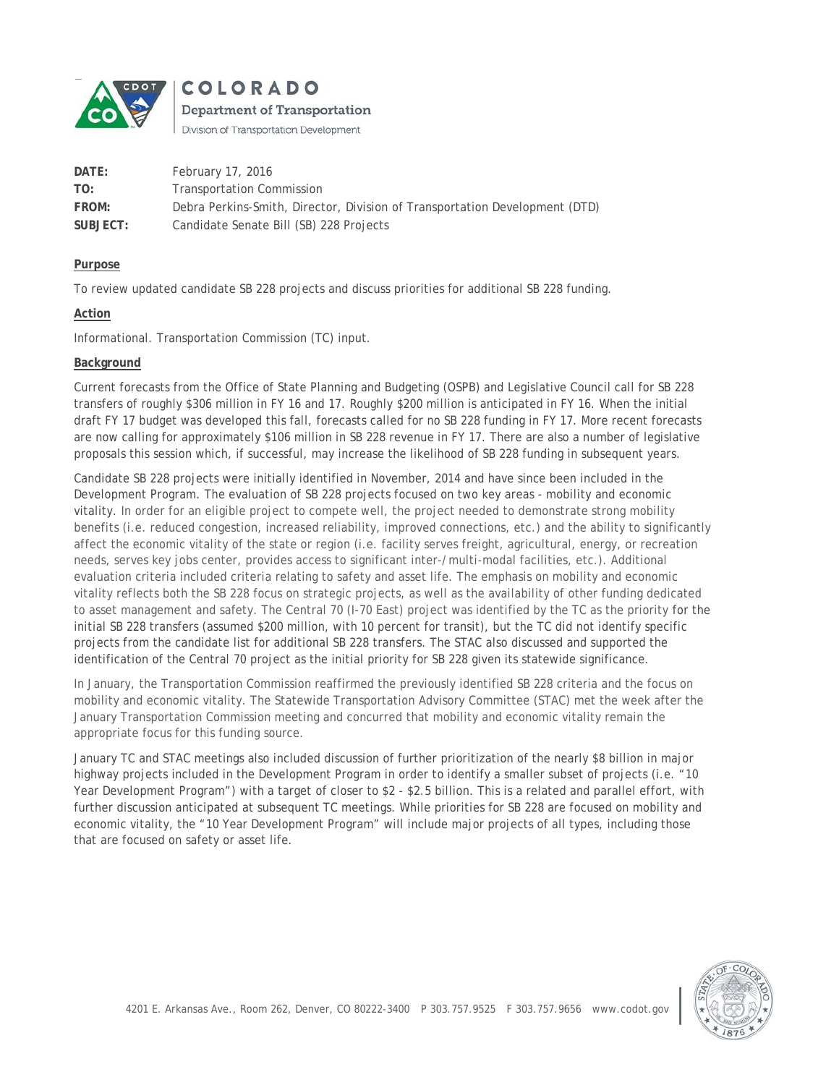

COLORADO

Department of Transportation Division of Transportation Development

| DATE:    | February 17, 2016                                                           |
|----------|-----------------------------------------------------------------------------|
| TO:      | <b>Transportation Commission</b>                                            |
| FROM:    | Debra Perkins-Smith, Director, Division of Transportation Development (DTD) |
| SUBJECT: | Candidate Senate Bill (SB) 228 Projects                                     |

### **Purpose**

To review updated candidate SB 228 projects and discuss priorities for additional SB 228 funding.

## **Action**

Informational. Transportation Commission (TC) input.

## **Background**

Current forecasts from the Office of State Planning and Budgeting (OSPB) and Legislative Council call for SB 228 transfers of roughly \$306 million in FY 16 and 17. Roughly \$200 million is anticipated in FY 16. When the initial draft FY 17 budget was developed this fall, forecasts called for no SB 228 funding in FY 17. More recent forecasts are now calling for approximately \$106 million in SB 228 revenue in FY 17. There are also a number of legislative proposals this session which, if successful, may increase the likelihood of SB 228 funding in subsequent years.

Candidate SB 228 projects were initially identified in November, 2014 and have since been included in the Development Program. The evaluation of SB 228 projects focused on two key areas - mobility and economic vitality. In order for an eligible project to compete well, the project needed to demonstrate strong mobility benefits (i.e. reduced congestion, increased reliability, improved connections, etc.) and the ability to significantly affect the economic vitality of the state or region (i.e. facility serves freight, agricultural, energy, or recreation needs, serves key jobs center, provides access to significant inter-/multi-modal facilities, etc.). Additional evaluation criteria included criteria relating to safety and asset life. The emphasis on mobility and economic vitality reflects both the SB 228 focus on strategic projects, as well as the availability of other funding dedicated to asset management and safety. The Central 70 (I-70 East) project was identified by the TC as the priority for the initial SB 228 transfers (assumed \$200 million, with 10 percent for transit), but the TC did not identify specific projects from the candidate list for additional SB 228 transfers. The STAC also discussed and supported the identification of the Central 70 project as the initial priority for SB 228 given its statewide significance.

In January, the Transportation Commission reaffirmed the previously identified SB 228 criteria and the focus on mobility and economic vitality. The Statewide Transportation Advisory Committee (STAC) met the week after the January Transportation Commission meeting and concurred that mobility and economic vitality remain the appropriate focus for this funding source.

January TC and STAC meetings also included discussion of further prioritization of the nearly \$8 billion in major highway projects included in the Development Program in order to identify a smaller subset of projects (i.e. "10 Year Development Program") with a target of closer to \$2 - \$2.5 billion. This is a related and parallel effort, with further discussion anticipated at subsequent TC meetings. While priorities for SB 228 are focused on mobility and economic vitality, the "10 Year Development Program" will include major projects of all types, including those that are focused on safety or asset life.

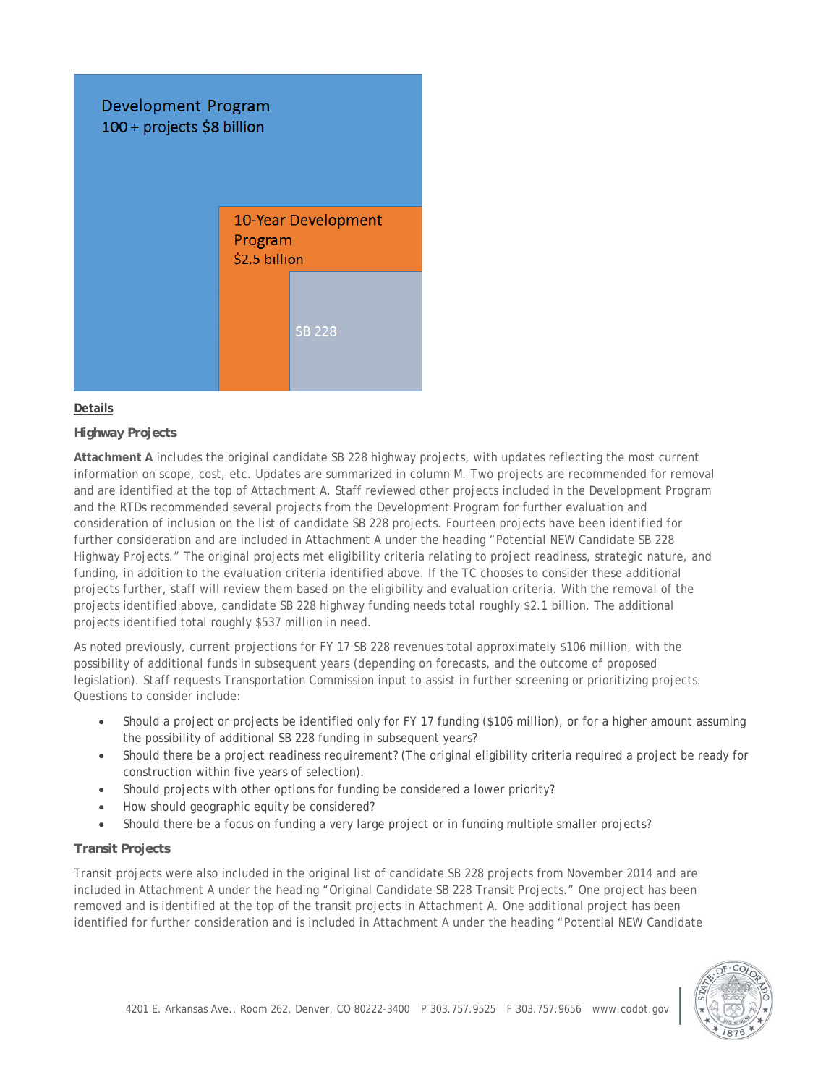

## **Details**

# *Highway Projects*

**Attachment A** includes the original candidate SB 228 highway projects, with updates reflecting the most current information on scope, cost, etc. Updates are summarized in column M. Two projects are recommended for removal and are identified at the top of Attachment A. Staff reviewed other projects included in the Development Program and the RTDs recommended several projects from the Development Program for further evaluation and consideration of inclusion on the list of candidate SB 228 projects. Fourteen projects have been identified for further consideration and are included in Attachment A under the heading "Potential NEW Candidate SB 228 Highway Projects." The original projects met eligibility criteria relating to project readiness, strategic nature, and funding, in addition to the evaluation criteria identified above. If the TC chooses to consider these additional projects further, staff will review them based on the eligibility and evaluation criteria. With the removal of the projects identified above, candidate SB 228 highway funding needs total roughly \$2.1 billion. The additional projects identified total roughly \$537 million in need.

As noted previously, current projections for FY 17 SB 228 revenues total approximately \$106 million, with the possibility of additional funds in subsequent years (depending on forecasts, and the outcome of proposed legislation). Staff requests Transportation Commission input to assist in further screening or prioritizing projects. Questions to consider include:

- Should a project or projects be identified only for FY 17 funding (\$106 million), or for a higher amount assuming the possibility of additional SB 228 funding in subsequent years?
- Should there be a project readiness requirement? (The original eligibility criteria required a project be ready for construction within five years of selection).
- Should projects with other options for funding be considered a lower priority?
- How should geographic equity be considered?
- Should there be a focus on funding a very large project or in funding multiple smaller projects?

### *Transit Projects*

Transit projects were also included in the original list of candidate SB 228 projects from November 2014 and are included in Attachment A under the heading "Original Candidate SB 228 Transit Projects." One project has been removed and is identified at the top of the transit projects in Attachment A. One additional project has been identified for further consideration and is included in Attachment A under the heading "Potential NEW Candidate